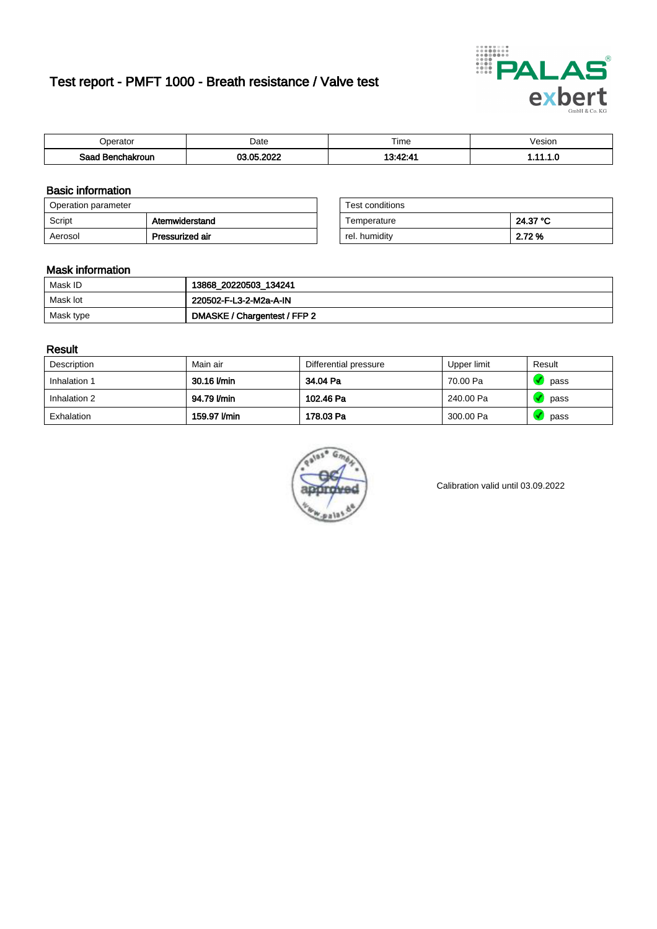# Test report - PMFT 1000 - Breath resistance / Valve test



| )perator               | Date           | $- \cdot$<br>Гіmе | esion |
|------------------------|----------------|-------------------|-------|
| המס<br>hakroun<br>32 H | റററ<br>AC<br>. | 49.49.4           | .     |

### Basic information

| Operation parameter |                 | Test conditions |          |
|---------------------|-----------------|-----------------|----------|
| Script              | Atemwiderstand  | Temperature     | 24.37 °C |
| Aerosol             | Pressurized air | rel. humidity   | 2.72 %   |

| Test conditions |          |
|-----------------|----------|
| Temperature     | 24.37 °C |
| rel. humidity   | 2.72 %   |

### Mask information

| Mask ID   | 13868_20220503_134241        |
|-----------|------------------------------|
| Mask lot  | 220502-F-L3-2-M2a-A-IN       |
| Mask type | DMASKE / Chargentest / FFP 2 |

### Result

| Description  | Main air     | Differential pressure | Upper limit | Result |
|--------------|--------------|-----------------------|-------------|--------|
| Inhalation 1 | 30.16 l/min  | 34.04 Pa              | 70.00 Pa    | pass   |
| Inhalation 2 | 94.79 I/min  | 102.46 Pa             | 240.00 Pa   | pass   |
| Exhalation   | 159.97 l/min | 178.03 Pa             | 300.00 Pa   | pass   |



Calibration valid until 03.09.2022